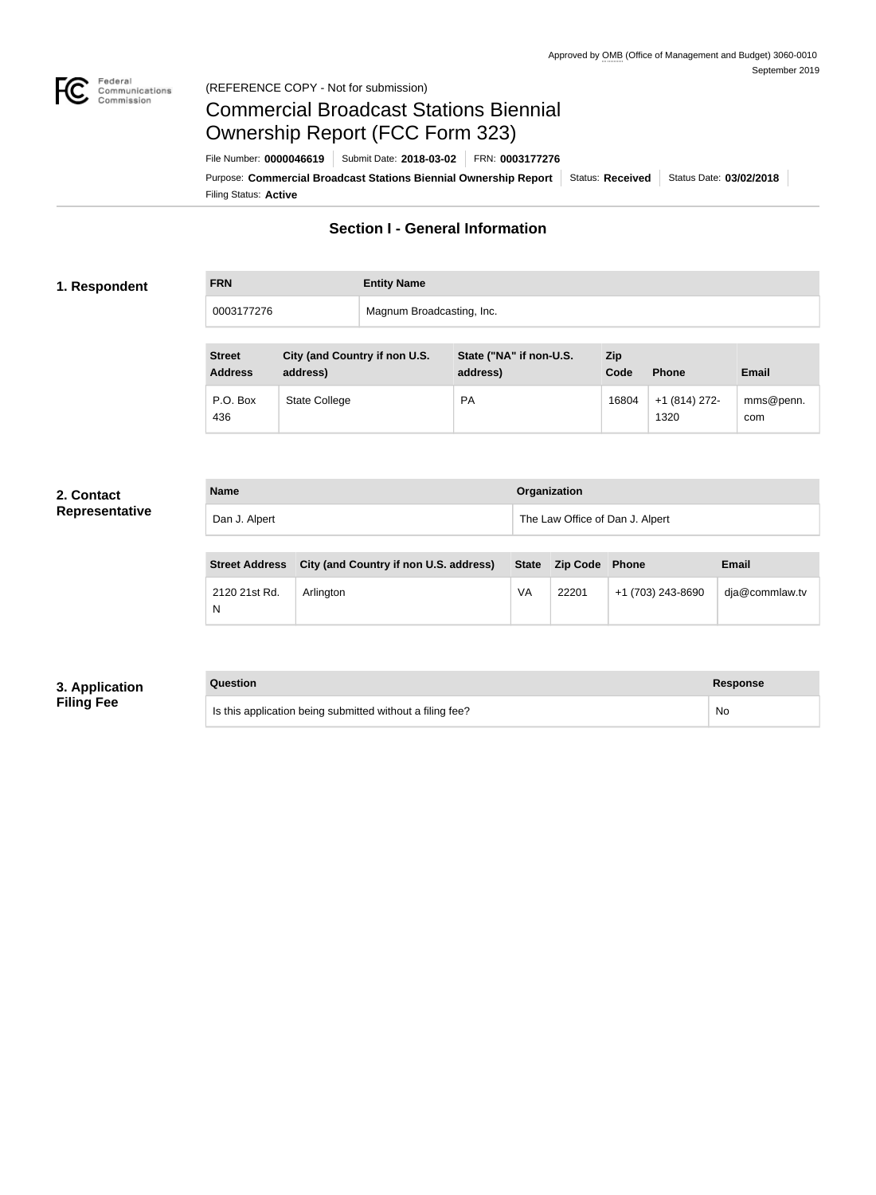

# Commercial Broadcast Stations Biennial Ownership Report (FCC Form 323)

Filing Status: **Active** Purpose: Commercial Broadcast Stations Biennial Ownership Report Status: Received Status Date: 03/02/2018 File Number: **0000046619** Submit Date: **2018-03-02** FRN: **0003177276**

## **Section I - General Information**

#### **1. Respondent**

| <b>FRN</b> | <b>Entity Name</b>        |
|------------|---------------------------|
| 0003177276 | Magnum Broadcasting, Inc. |

| <b>Street</b><br><b>Address</b> | City (and Country if non U.S.<br>address) | State ("NA" if non-U.S.<br>address) | Zip<br>Code | <b>Phone</b>          | <b>Email</b>     |
|---------------------------------|-------------------------------------------|-------------------------------------|-------------|-----------------------|------------------|
| P.O. Box<br>436                 | <b>State College</b>                      | <b>PA</b>                           | 16804       | $+1(814)272-$<br>1320 | mms@penn.<br>com |

#### **2. Contact Representative**

| <b>Name</b>   | Organization                    |
|---------------|---------------------------------|
| Dan J. Alpert | The Law Office of Dan J. Alpert |

| <b>Street Address</b> | City (and Country if non U.S. address) |    | State Zip Code Phone |                   | <b>Email</b>   |
|-----------------------|----------------------------------------|----|----------------------|-------------------|----------------|
| 2120 21st Rd.         | Arlinaton                              | VA | 22201                | +1 (703) 243-8690 | dja@commlaw.tv |

## **3. Application Filing Fee**

#### **Question Response**

| Is this application being submitted without a filing fee? | No |
|-----------------------------------------------------------|----|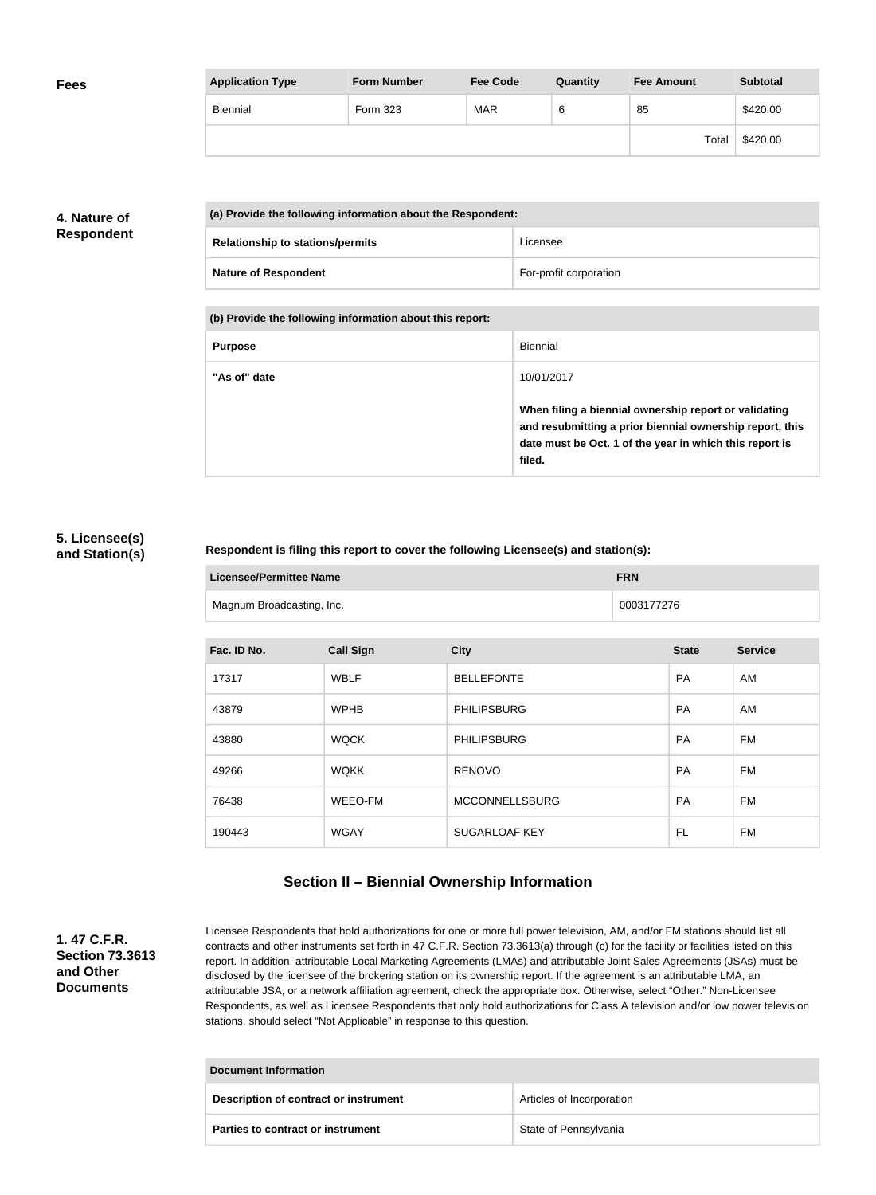| <b>Fees</b> | <b>Application Type</b> | <b>Form Number</b> | <b>Fee Code</b> | Quantity | <b>Fee Amount</b> | <b>Subtotal</b> |
|-------------|-------------------------|--------------------|-----------------|----------|-------------------|-----------------|
|             | Biennial                | Form 323           | <b>MAR</b>      | 6        | 85                | \$420.00        |
|             |                         |                    |                 |          | Total             | \$420.00        |

## **4. Nature of Respondent**

| (a) Provide the following information about the Respondent: |                        |  |
|-------------------------------------------------------------|------------------------|--|
| <b>Relationship to stations/permits</b>                     | Licensee               |  |
| <b>Nature of Respondent</b>                                 | For-profit corporation |  |

**(b) Provide the following information about this report:**

| <b>Purpose</b> | Biennial                                                                                                                                                                               |
|----------------|----------------------------------------------------------------------------------------------------------------------------------------------------------------------------------------|
| "As of" date   | 10/01/2017                                                                                                                                                                             |
|                | When filing a biennial ownership report or validating<br>and resubmitting a prior biennial ownership report, this<br>date must be Oct. 1 of the year in which this report is<br>filed. |

### **5. Licensee(s) and Station(s)**

#### **Respondent is filing this report to cover the following Licensee(s) and station(s):**

| Licensee/Permittee Name   | <b>FRN</b> |
|---------------------------|------------|
| Magnum Broadcasting, Inc. | 0003177276 |

| Fac. ID No. | <b>Call Sign</b> | <b>City</b>           | <b>State</b> | <b>Service</b> |
|-------------|------------------|-----------------------|--------------|----------------|
| 17317       | <b>WBLF</b>      | <b>BELLEFONTE</b>     | <b>PA</b>    | AM             |
| 43879       | <b>WPHB</b>      | <b>PHILIPSBURG</b>    | <b>PA</b>    | AM             |
| 43880       | <b>WQCK</b>      | <b>PHILIPSBURG</b>    | <b>PA</b>    | FM             |
| 49266       | <b>WQKK</b>      | <b>RENOVO</b>         | <b>PA</b>    | FM             |
| 76438       | WEEO-FM          | <b>MCCONNELLSBURG</b> | <b>PA</b>    | FM             |
| 190443      | <b>WGAY</b>      | <b>SUGARLOAF KEY</b>  | FL           | FM             |

## **Section II – Biennial Ownership Information**

**1. 47 C.F.R. Section 73.3613 and Other Documents**

Licensee Respondents that hold authorizations for one or more full power television, AM, and/or FM stations should list all contracts and other instruments set forth in 47 C.F.R. Section 73.3613(a) through (c) for the facility or facilities listed on this report. In addition, attributable Local Marketing Agreements (LMAs) and attributable Joint Sales Agreements (JSAs) must be disclosed by the licensee of the brokering station on its ownership report. If the agreement is an attributable LMA, an attributable JSA, or a network affiliation agreement, check the appropriate box. Otherwise, select "Other." Non-Licensee Respondents, as well as Licensee Respondents that only hold authorizations for Class A television and/or low power television stations, should select "Not Applicable" in response to this question.

| Document Information                  |                           |  |
|---------------------------------------|---------------------------|--|
| Description of contract or instrument | Articles of Incorporation |  |
| Parties to contract or instrument     | State of Pennsylvania     |  |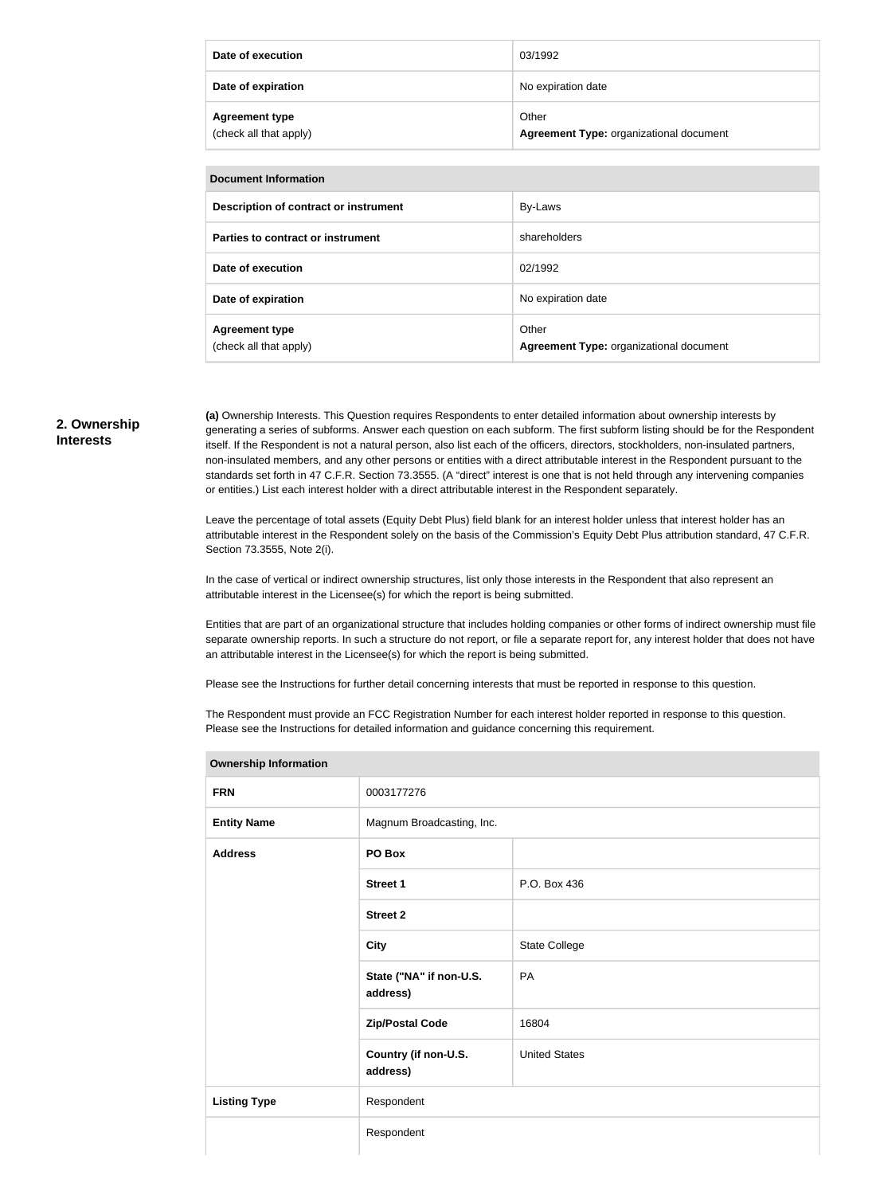| Date of execution                               | 03/1992                                          |
|-------------------------------------------------|--------------------------------------------------|
| Date of expiration                              | No expiration date                               |
| <b>Agreement type</b><br>(check all that apply) | Other<br>Agreement Type: organizational document |

| <b>Document Information</b>                     |                                                  |  |
|-------------------------------------------------|--------------------------------------------------|--|
| Description of contract or instrument           | By-Laws                                          |  |
| Parties to contract or instrument               | shareholders                                     |  |
| Date of execution                               | 02/1992                                          |  |
| Date of expiration                              | No expiration date                               |  |
| <b>Agreement type</b><br>(check all that apply) | Other<br>Agreement Type: organizational document |  |

#### **2. Ownership Interests**

**(a)** Ownership Interests. This Question requires Respondents to enter detailed information about ownership interests by generating a series of subforms. Answer each question on each subform. The first subform listing should be for the Respondent itself. If the Respondent is not a natural person, also list each of the officers, directors, stockholders, non-insulated partners, non-insulated members, and any other persons or entities with a direct attributable interest in the Respondent pursuant to the standards set forth in 47 C.F.R. Section 73.3555. (A "direct" interest is one that is not held through any intervening companies or entities.) List each interest holder with a direct attributable interest in the Respondent separately.

Leave the percentage of total assets (Equity Debt Plus) field blank for an interest holder unless that interest holder has an attributable interest in the Respondent solely on the basis of the Commission's Equity Debt Plus attribution standard, 47 C.F.R. Section 73.3555, Note 2(i).

In the case of vertical or indirect ownership structures, list only those interests in the Respondent that also represent an attributable interest in the Licensee(s) for which the report is being submitted.

Entities that are part of an organizational structure that includes holding companies or other forms of indirect ownership must file separate ownership reports. In such a structure do not report, or file a separate report for, any interest holder that does not have an attributable interest in the Licensee(s) for which the report is being submitted.

Please see the Instructions for further detail concerning interests that must be reported in response to this question.

The Respondent must provide an FCC Registration Number for each interest holder reported in response to this question. Please see the Instructions for detailed information and guidance concerning this requirement.

| <b>Ownership Information</b> |                                     |                      |
|------------------------------|-------------------------------------|----------------------|
| <b>FRN</b>                   | 0003177276                          |                      |
| <b>Entity Name</b>           | Magnum Broadcasting, Inc.           |                      |
| <b>Address</b>               | PO Box                              |                      |
|                              | <b>Street 1</b>                     | P.O. Box 436         |
|                              | <b>Street 2</b>                     |                      |
|                              | <b>City</b>                         | State College        |
|                              | State ("NA" if non-U.S.<br>address) | PA                   |
|                              | <b>Zip/Postal Code</b>              | 16804                |
|                              | Country (if non-U.S.<br>address)    | <b>United States</b> |
| <b>Listing Type</b>          | Respondent                          |                      |
|                              | Respondent                          |                      |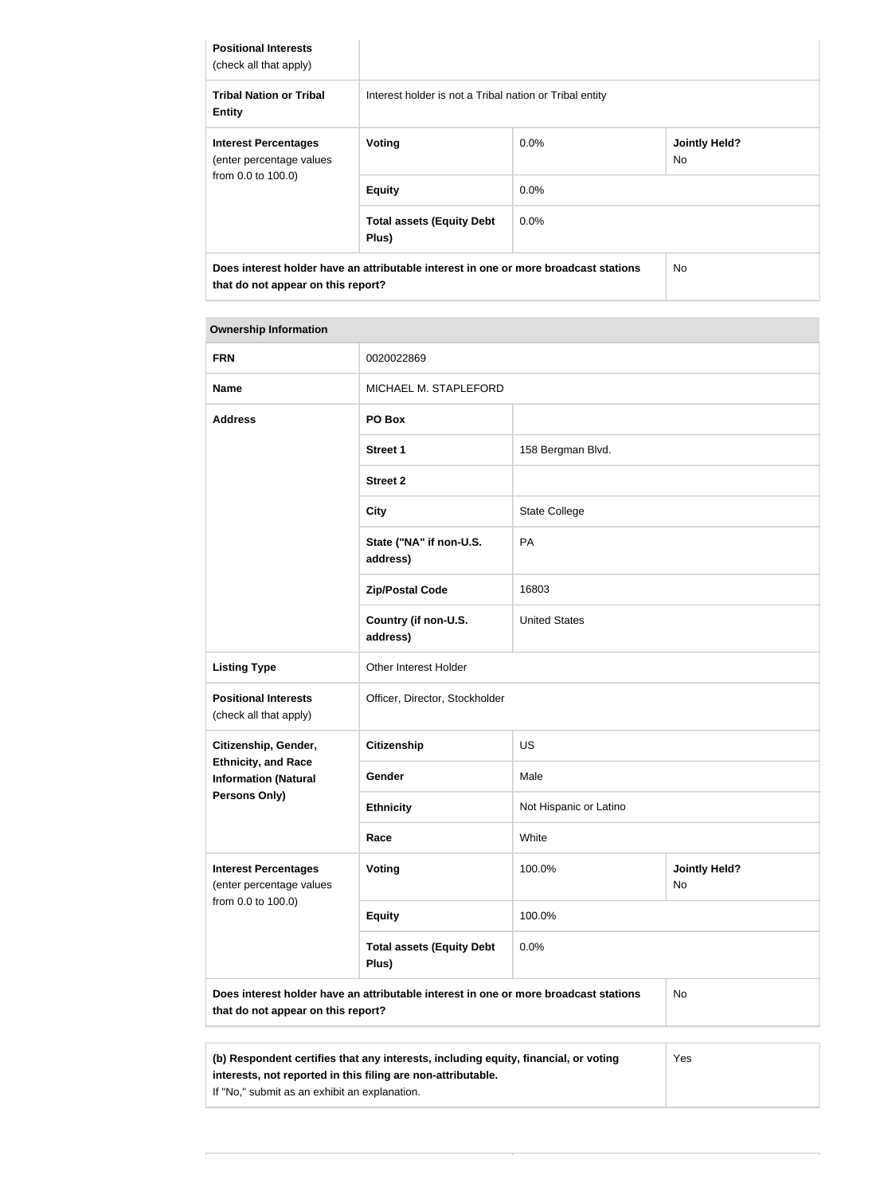| <b>Positional Interests</b><br>(check all that apply)   |                                                                                      |         |                                   |
|---------------------------------------------------------|--------------------------------------------------------------------------------------|---------|-----------------------------------|
| <b>Tribal Nation or Tribal</b><br><b>Entity</b>         | Interest holder is not a Tribal nation or Tribal entity                              |         |                                   |
| <b>Interest Percentages</b><br>(enter percentage values | <b>Voting</b>                                                                        | $0.0\%$ | <b>Jointly Held?</b><br><b>No</b> |
| from 0.0 to 100.0)                                      | <b>Equity</b>                                                                        | $0.0\%$ |                                   |
|                                                         | <b>Total assets (Equity Debt</b><br>Plus)                                            | $0.0\%$ |                                   |
| that do not appear on this report?                      | Does interest holder have an attributable interest in one or more broadcast stations |         | <b>No</b>                         |

## **Ownership Information FRN** 0020022869 **Name** MICHAEL M. STAPLEFORD **Address PO Box Street 1** 158 Bergman Blvd. **Street 2 City** State College **State ("NA" if non-U.S. address)** PA **Zip/Postal Code** 16803 **Country (if non-U.S. address)** United States Listing Type **Conservation Conservation** Other Interest Holder **Positional Interests** (check all that apply) Officer, Director, Stockholder **Citizenship, Gender, Ethnicity, and Race Information (Natural Persons Only) Citizenship** US Gender Male **Ethnicity** Not Hispanic or Latino **Race** White **Interest Percentages** (enter percentage values from 0.0 to 100.0) **Voting** 100.0% **Jointly Held?** No **Equity** 100.0% **Total assets (Equity Debt Plus)** 0.0% **Does interest holder have an attributable interest in one or more broadcast stations that do not appear on this report?** No

| (b) Respondent certifies that any interests, including equity, financial, or voting | Yes |
|-------------------------------------------------------------------------------------|-----|
| interests, not reported in this filing are non-attributable.                        |     |
| If "No," submit as an exhibit an explanation.                                       |     |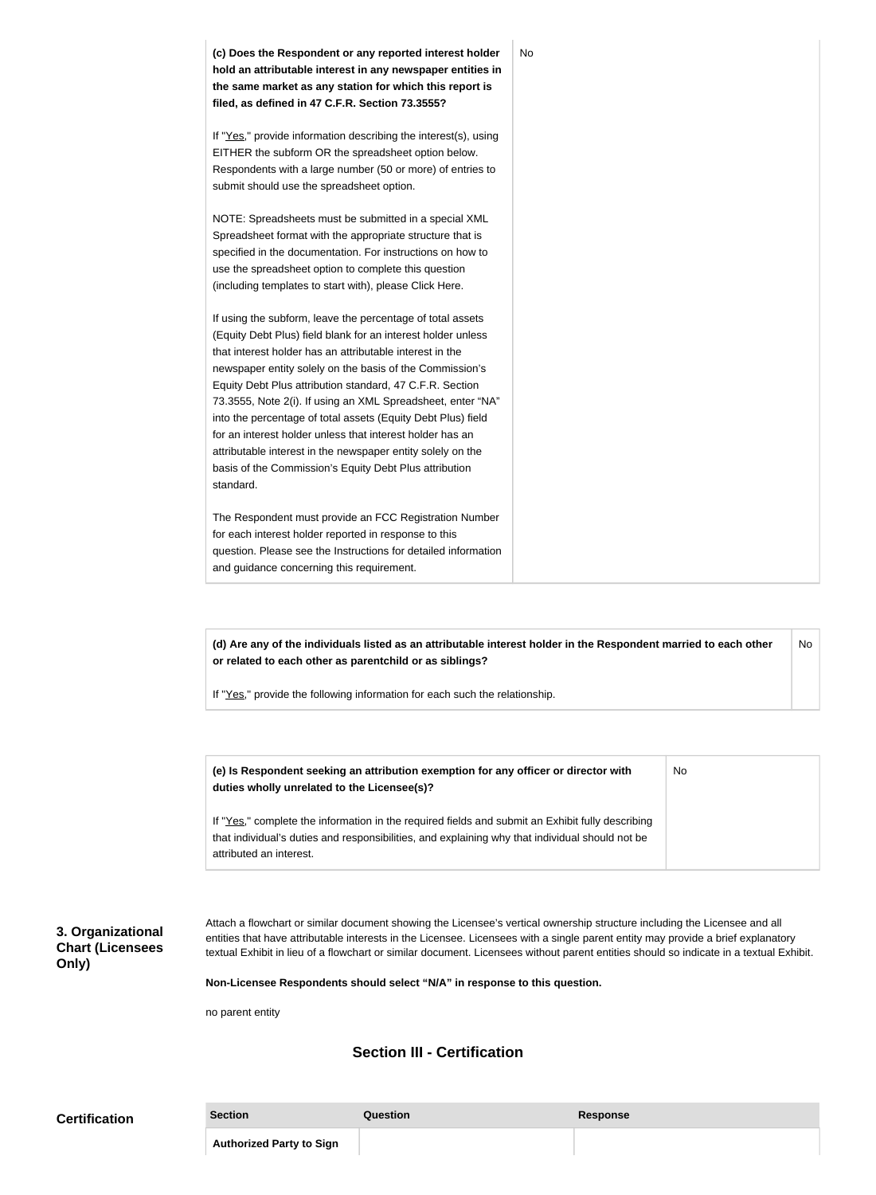**(c) Does the Respondent or any reported interest holder hold an attributable interest in any newspaper entities in the same market as any station for which this report is filed, as defined in 47 C.F.R. Section 73.3555?** If "Yes," provide information describing the interest(s), using EITHER the subform OR the spreadsheet option below. Respondents with a large number (50 or more) of entries to submit should use the spreadsheet option. NOTE: Spreadsheets must be submitted in a special XML Spreadsheet format with the appropriate structure that is specified in the documentation. For instructions on how to use the spreadsheet option to complete this question (including templates to start with), please Click Here. If using the subform, leave the percentage of total assets (Equity Debt Plus) field blank for an interest holder unless that interest holder has an attributable interest in the newspaper entity solely on the basis of the Commission's Equity Debt Plus attribution standard, 47 C.F.R. Section 73.3555, Note 2(i). If using an XML Spreadsheet, enter "NA" into the percentage of total assets (Equity Debt Plus) field for an interest holder unless that interest holder has an attributable interest in the newspaper entity solely on the basis of the Commission's Equity Debt Plus attribution standard. The Respondent must provide an FCC Registration Number for each interest holder reported in response to this question. Please see the Instructions for detailed information and guidance concerning this requirement. No

**(d) Are any of the individuals listed as an attributable interest holder in the Respondent married to each other or related to each other as parentchild or as siblings?** No

If "Yes," provide the following information for each such the relationship.

| (e) Is Respondent seeking an attribution exemption for any officer or director with<br>duties wholly unrelated to the Licensee(s)?                                                                                             | No |
|--------------------------------------------------------------------------------------------------------------------------------------------------------------------------------------------------------------------------------|----|
| If "Yes," complete the information in the required fields and submit an Exhibit fully describing<br>that individual's duties and responsibilities, and explaining why that individual should not be<br>attributed an interest. |    |

**3. Organizational Chart (Licensees Only)**

Attach a flowchart or similar document showing the Licensee's vertical ownership structure including the Licensee and all entities that have attributable interests in the Licensee. Licensees with a single parent entity may provide a brief explanatory textual Exhibit in lieu of a flowchart or similar document. Licensees without parent entities should so indicate in a textual Exhibit.

**Non-Licensee Respondents should select "N/A" in response to this question.**

no parent entity

## **Section III - Certification**

| <b>Certification</b> | <b>Section</b>                  | Question | <b>Response</b> |
|----------------------|---------------------------------|----------|-----------------|
|                      | <b>Authorized Party to Sign</b> |          |                 |